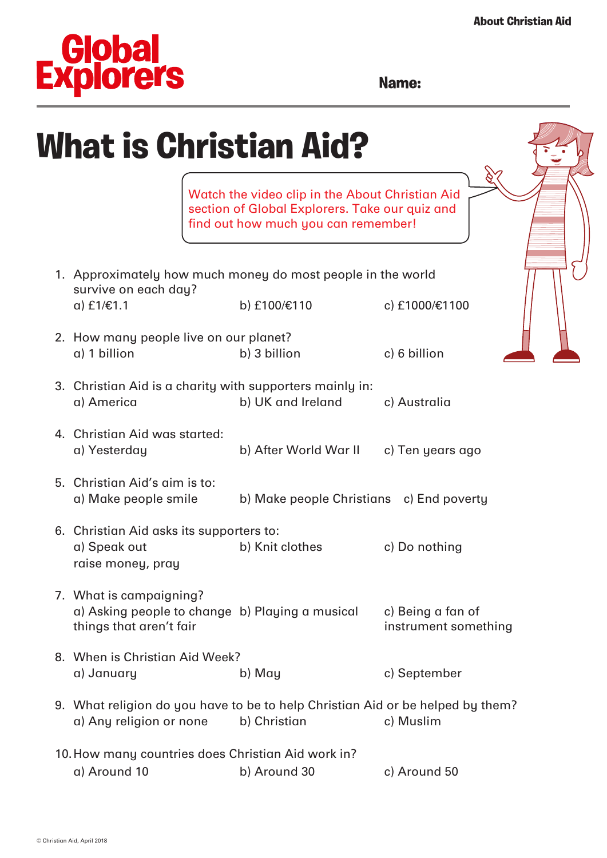## **Clobal**<br>Explorers

## **Name:**

| <b>What is Christian Aid?</b>                                                                             |                                                                                                                                          |                                           |  |
|-----------------------------------------------------------------------------------------------------------|------------------------------------------------------------------------------------------------------------------------------------------|-------------------------------------------|--|
|                                                                                                           | Watch the video clip in the About Christian Aid<br>section of Global Explorers. Take our quiz and<br>find out how much you can remember! |                                           |  |
| 1. Approximately how much money do most people in the world<br>survive on each day?                       |                                                                                                                                          |                                           |  |
| $a)$ £1/€1.1                                                                                              | b) £100/€110                                                                                                                             | c) £1000/€1100                            |  |
| 2. How many people live on our planet?<br>a) 1 billion                                                    | b) 3 billion                                                                                                                             | c) 6 billion                              |  |
| 3. Christian Aid is a charity with supporters mainly in:<br>a) America                                    | b) UK and Ireland                                                                                                                        | c) Australia                              |  |
| 4. Christian Aid was started:<br>a) Yesterday                                                             | b) After World War II c) Ten years ago                                                                                                   |                                           |  |
| 5. Christian Aid's aim is to:<br>a) Make people smile                                                     | b) Make people Christians c) End poverty                                                                                                 |                                           |  |
| 6. Christian Aid asks its supporters to:<br>a) Speak out<br>raise money, pray                             | b) Knit clothes                                                                                                                          | c) Do nothing                             |  |
| 7. What is campaigning?<br>a) Asking people to change b) Playing a musical<br>things that aren't fair     |                                                                                                                                          | c) Being a fan of<br>instrument something |  |
| 8. When is Christian Aid Week?<br>a) January                                                              | b) May                                                                                                                                   | c) September                              |  |
| 9. What religion do you have to be to help Christian Aid or be helped by them?<br>a) Any religion or none | b) Christian                                                                                                                             | c) Muslim                                 |  |
| 10. How many countries does Christian Aid work in?                                                        |                                                                                                                                          |                                           |  |
| a) Around 10                                                                                              | b) Around 30                                                                                                                             | c) Around 50                              |  |